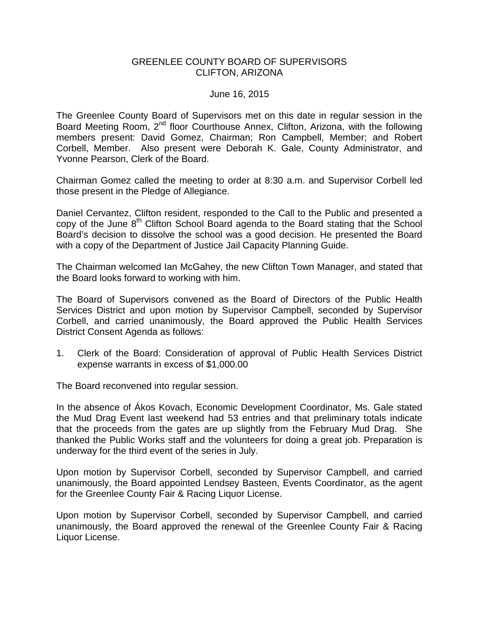## GREENLEE COUNTY BOARD OF SUPERVISORS CLIFTON, ARIZONA

### June 16, 2015

The Greenlee County Board of Supervisors met on this date in regular session in the Board Meeting Room, 2<sup>nd</sup> floor Courthouse Annex, Clifton, Arizona, with the following members present: David Gomez, Chairman; Ron Campbell, Member; and Robert Corbell, Member. Also present were Deborah K. Gale, County Administrator, and Yvonne Pearson, Clerk of the Board.

Chairman Gomez called the meeting to order at 8:30 a.m. and Supervisor Corbell led those present in the Pledge of Allegiance.

Daniel Cervantez, Clifton resident, responded to the Call to the Public and presented a copy of the June 8<sup>th</sup> Clifton School Board agenda to the Board stating that the School Board's decision to dissolve the school was a good decision. He presented the Board with a copy of the Department of Justice Jail Capacity Planning Guide.

The Chairman welcomed Ian McGahey, the new Clifton Town Manager, and stated that the Board looks forward to working with him.

The Board of Supervisors convened as the Board of Directors of the Public Health Services District and upon motion by Supervisor Campbell, seconded by Supervisor Corbell, and carried unanimously, the Board approved the Public Health Services District Consent Agenda as follows:

1. Clerk of the Board: Consideration of approval of Public Health Services District expense warrants in excess of \$1,000.00

The Board reconvened into regular session.

In the absence of Ákos Kovach, Economic Development Coordinator, Ms. Gale stated the Mud Drag Event last weekend had 53 entries and that preliminary totals indicate that the proceeds from the gates are up slightly from the February Mud Drag. She thanked the Public Works staff and the volunteers for doing a great job. Preparation is underway for the third event of the series in July.

Upon motion by Supervisor Corbell, seconded by Supervisor Campbell, and carried unanimously, the Board appointed Lendsey Basteen, Events Coordinator, as the agent for the Greenlee County Fair & Racing Liquor License.

Upon motion by Supervisor Corbell, seconded by Supervisor Campbell, and carried unanimously, the Board approved the renewal of the Greenlee County Fair & Racing Liquor License.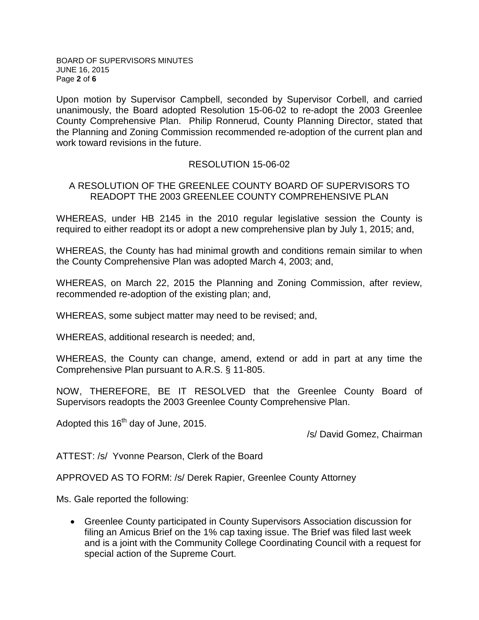BOARD OF SUPERVISORS MINUTES JUNE 16, 2015 Page **2** of **6**

Upon motion by Supervisor Campbell, seconded by Supervisor Corbell, and carried unanimously, the Board adopted Resolution 15-06-02 to re-adopt the 2003 Greenlee County Comprehensive Plan. Philip Ronnerud, County Planning Director, stated that the Planning and Zoning Commission recommended re-adoption of the current plan and work toward revisions in the future.

## RESOLUTION 15-06-02

# A RESOLUTION OF THE GREENLEE COUNTY BOARD OF SUPERVISORS TO READOPT THE 2003 GREENLEE COUNTY COMPREHENSIVE PLAN

WHEREAS, under HB 2145 in the 2010 regular legislative session the County is required to either readopt its or adopt a new comprehensive plan by July 1, 2015; and,

WHEREAS, the County has had minimal growth and conditions remain similar to when the County Comprehensive Plan was adopted March 4, 2003; and,

WHEREAS, on March 22, 2015 the Planning and Zoning Commission, after review, recommended re-adoption of the existing plan; and,

WHEREAS, some subject matter may need to be revised; and,

WHEREAS, additional research is needed; and,

WHEREAS, the County can change, amend, extend or add in part at any time the Comprehensive Plan pursuant to A.R.S. § 11-805.

NOW, THEREFORE, BE IT RESOLVED that the Greenlee County Board of Supervisors readopts the 2003 Greenlee County Comprehensive Plan.

Adopted this 16<sup>th</sup> day of June, 2015.

/s/ David Gomez, Chairman

ATTEST: /s/ Yvonne Pearson, Clerk of the Board

APPROVED AS TO FORM: /s/ Derek Rapier, Greenlee County Attorney

Ms. Gale reported the following:

• Greenlee County participated in County Supervisors Association discussion for filing an Amicus Brief on the 1% cap taxing issue. The Brief was filed last week and is a joint with the Community College Coordinating Council with a request for special action of the Supreme Court.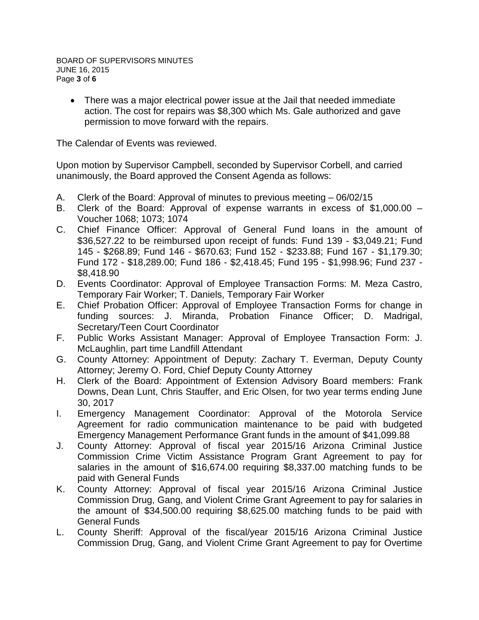• There was a major electrical power issue at the Jail that needed immediate action. The cost for repairs was \$8,300 which Ms. Gale authorized and gave permission to move forward with the repairs.

The Calendar of Events was reviewed.

Upon motion by Supervisor Campbell, seconded by Supervisor Corbell, and carried unanimously, the Board approved the Consent Agenda as follows:

- A. Clerk of the Board: Approval of minutes to previous meeting 06/02/15
- B. Clerk of the Board: Approval of expense warrants in excess of \$1,000.00 Voucher 1068; 1073; 1074
- C. Chief Finance Officer: Approval of General Fund loans in the amount of \$36,527.22 to be reimbursed upon receipt of funds: Fund 139 - \$3,049.21; Fund 145 - \$268.89; Fund 146 - \$670.63; Fund 152 - \$233.88; Fund 167 - \$1,179.30; Fund 172 - \$18,289.00; Fund 186 - \$2,418.45; Fund 195 - \$1,998.96; Fund 237 - \$8,418.90
- D. Events Coordinator: Approval of Employee Transaction Forms: M. Meza Castro, Temporary Fair Worker; T. Daniels, Temporary Fair Worker
- E. Chief Probation Officer: Approval of Employee Transaction Forms for change in funding sources: J. Miranda, Probation Finance Officer; D. Madrigal, Secretary/Teen Court Coordinator
- F. Public Works Assistant Manager: Approval of Employee Transaction Form: J. McLaughlin, part time Landfill Attendant
- G. County Attorney: Appointment of Deputy: Zachary T. Everman, Deputy County Attorney; Jeremy O. Ford, Chief Deputy County Attorney
- H. Clerk of the Board: Appointment of Extension Advisory Board members: Frank Downs, Dean Lunt, Chris Stauffer, and Eric Olsen, for two year terms ending June 30, 2017
- I. Emergency Management Coordinator: Approval of the Motorola Service Agreement for radio communication maintenance to be paid with budgeted Emergency Management Performance Grant funds in the amount of \$41,099.88
- J. County Attorney: Approval of fiscal year 2015/16 Arizona Criminal Justice Commission Crime Victim Assistance Program Grant Agreement to pay for salaries in the amount of \$16,674.00 requiring \$8,337.00 matching funds to be paid with General Funds
- K. County Attorney: Approval of fiscal year 2015/16 Arizona Criminal Justice Commission Drug, Gang, and Violent Crime Grant Agreement to pay for salaries in the amount of \$34,500.00 requiring \$8,625.00 matching funds to be paid with General Funds
- L. County Sheriff: Approval of the fiscal/year 2015/16 Arizona Criminal Justice Commission Drug, Gang, and Violent Crime Grant Agreement to pay for Overtime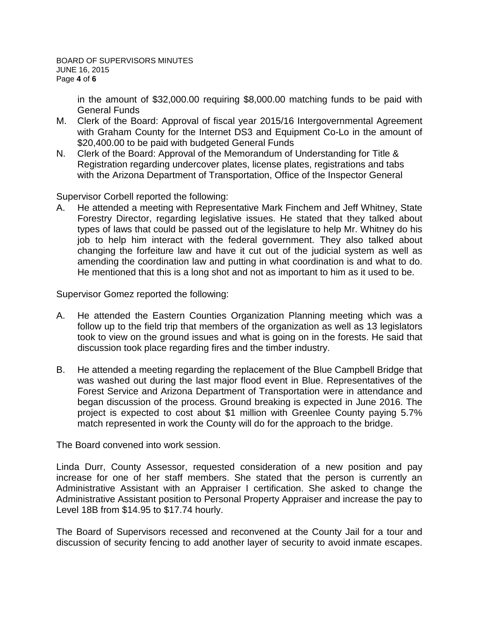in the amount of \$32,000.00 requiring \$8,000.00 matching funds to be paid with General Funds

- M. Clerk of the Board: Approval of fiscal year 2015/16 Intergovernmental Agreement with Graham County for the Internet DS3 and Equipment Co-Lo in the amount of \$20,400.00 to be paid with budgeted General Funds
- N. Clerk of the Board: Approval of the Memorandum of Understanding for Title & Registration regarding undercover plates, license plates, registrations and tabs with the Arizona Department of Transportation, Office of the Inspector General

Supervisor Corbell reported the following:

A. He attended a meeting with Representative Mark Finchem and Jeff Whitney, State Forestry Director, regarding legislative issues. He stated that they talked about types of laws that could be passed out of the legislature to help Mr. Whitney do his job to help him interact with the federal government. They also talked about changing the forfeiture law and have it cut out of the judicial system as well as amending the coordination law and putting in what coordination is and what to do. He mentioned that this is a long shot and not as important to him as it used to be.

Supervisor Gomez reported the following:

- A. He attended the Eastern Counties Organization Planning meeting which was a follow up to the field trip that members of the organization as well as 13 legislators took to view on the ground issues and what is going on in the forests. He said that discussion took place regarding fires and the timber industry.
- B. He attended a meeting regarding the replacement of the Blue Campbell Bridge that was washed out during the last major flood event in Blue. Representatives of the Forest Service and Arizona Department of Transportation were in attendance and began discussion of the process. Ground breaking is expected in June 2016. The project is expected to cost about \$1 million with Greenlee County paying 5.7% match represented in work the County will do for the approach to the bridge.

The Board convened into work session.

Linda Durr, County Assessor, requested consideration of a new position and pay increase for one of her staff members. She stated that the person is currently an Administrative Assistant with an Appraiser I certification. She asked to change the Administrative Assistant position to Personal Property Appraiser and increase the pay to Level 18B from \$14.95 to \$17.74 hourly.

The Board of Supervisors recessed and reconvened at the County Jail for a tour and discussion of security fencing to add another layer of security to avoid inmate escapes.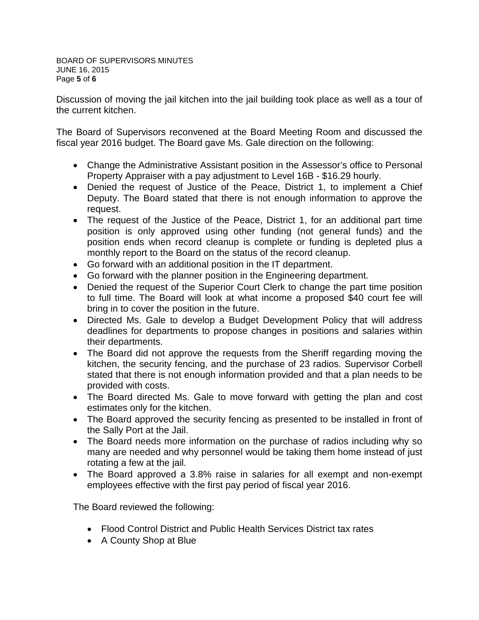Discussion of moving the jail kitchen into the jail building took place as well as a tour of the current kitchen.

The Board of Supervisors reconvened at the Board Meeting Room and discussed the fiscal year 2016 budget. The Board gave Ms. Gale direction on the following:

- Change the Administrative Assistant position in the Assessor's office to Personal Property Appraiser with a pay adjustment to Level 16B - \$16.29 hourly.
- Denied the request of Justice of the Peace, District 1, to implement a Chief Deputy. The Board stated that there is not enough information to approve the request.
- The request of the Justice of the Peace, District 1, for an additional part time position is only approved using other funding (not general funds) and the position ends when record cleanup is complete or funding is depleted plus a monthly report to the Board on the status of the record cleanup.
- Go forward with an additional position in the IT department.
- Go forward with the planner position in the Engineering department.
- Denied the request of the Superior Court Clerk to change the part time position to full time. The Board will look at what income a proposed \$40 court fee will bring in to cover the position in the future.
- Directed Ms. Gale to develop a Budget Development Policy that will address deadlines for departments to propose changes in positions and salaries within their departments.
- The Board did not approve the requests from the Sheriff regarding moving the kitchen, the security fencing, and the purchase of 23 radios. Supervisor Corbell stated that there is not enough information provided and that a plan needs to be provided with costs.
- The Board directed Ms. Gale to move forward with getting the plan and cost estimates only for the kitchen.
- The Board approved the security fencing as presented to be installed in front of the Sally Port at the Jail.
- The Board needs more information on the purchase of radios including why so many are needed and why personnel would be taking them home instead of just rotating a few at the jail.
- The Board approved a 3.8% raise in salaries for all exempt and non-exempt employees effective with the first pay period of fiscal year 2016.

The Board reviewed the following:

- Flood Control District and Public Health Services District tax rates
- A County Shop at Blue